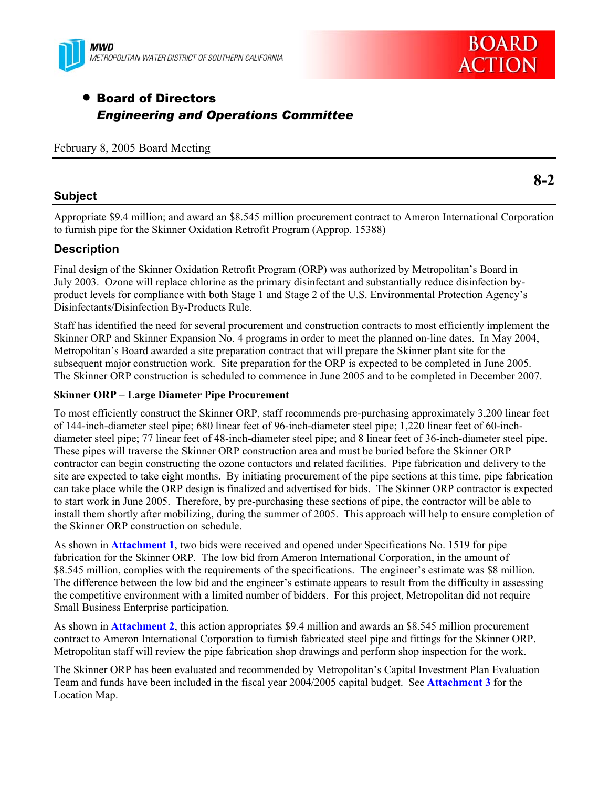



# • Board of Directors *Engineering and Operations Committee*

February 8, 2005 Board Meeting

### **Subject**

**8-2** 

Appropriate \$9.4 million; and award an \$8.545 million procurement contract to Ameron International Corporation to furnish pipe for the Skinner Oxidation Retrofit Program (Approp. 15388)

## **Description**

Final design of the Skinner Oxidation Retrofit Program (ORP) was authorized by Metropolitan's Board in July 2003. Ozone will replace chlorine as the primary disinfectant and substantially reduce disinfection byproduct levels for compliance with both Stage 1 and Stage 2 of the U.S. Environmental Protection Agency's Disinfectants/Disinfection By-Products Rule.

Staff has identified the need for several procurement and construction contracts to most efficiently implement the Skinner ORP and Skinner Expansion No. 4 programs in order to meet the planned on-line dates. In May 2004, Metropolitan's Board awarded a site preparation contract that will prepare the Skinner plant site for the subsequent major construction work. Site preparation for the ORP is expected to be completed in June 2005. The Skinner ORP construction is scheduled to commence in June 2005 and to be completed in December 2007.

#### **Skinner ORP – Large Diameter Pipe Procurement**

To most efficiently construct the Skinner ORP, staff recommends pre-purchasing approximately 3,200 linear feet of 144-inch-diameter steel pipe; 680 linear feet of 96-inch-diameter steel pipe; 1,220 linear feet of 60-inchdiameter steel pipe; 77 linear feet of 48-inch-diameter steel pipe; and 8 linear feet of 36-inch-diameter steel pipe. These pipes will traverse the Skinner ORP construction area and must be buried before the Skinner ORP contractor can begin constructing the ozone contactors and related facilities. Pipe fabrication and delivery to the site are expected to take eight months. By initiating procurement of the pipe sections at this time, pipe fabrication can take place while the ORP design is finalized and advertised for bids. The Skinner ORP contractor is expected to start work in June 2005. Therefore, by pre-purchasing these sections of pipe, the contractor will be able to install them shortly after mobilizing, during the summer of 2005. This approach will help to ensure completion of the Skinner ORP construction on schedule.

As shown in **Attachment 1**, two bids were received and opened under Specifications No. 1519 for pipe fabrication for the Skinner ORP. The low bid from Ameron International Corporation, in the amount of \$8.545 million, complies with the requirements of the specifications. The engineer's estimate was \$8 million. The difference between the low bid and the engineer's estimate appears to result from the difficulty in assessing the competitive environment with a limited number of bidders. For this project, Metropolitan did not require Small Business Enterprise participation.

As shown in **Attachment 2**, this action appropriates \$9.4 million and awards an \$8.545 million procurement contract to Ameron International Corporation to furnish fabricated steel pipe and fittings for the Skinner ORP. Metropolitan staff will review the pipe fabrication shop drawings and perform shop inspection for the work.

The Skinner ORP has been evaluated and recommended by Metropolitan's Capital Investment Plan Evaluation Team and funds have been included in the fiscal year 2004/2005 capital budget. See **Attachment 3** for the Location Map.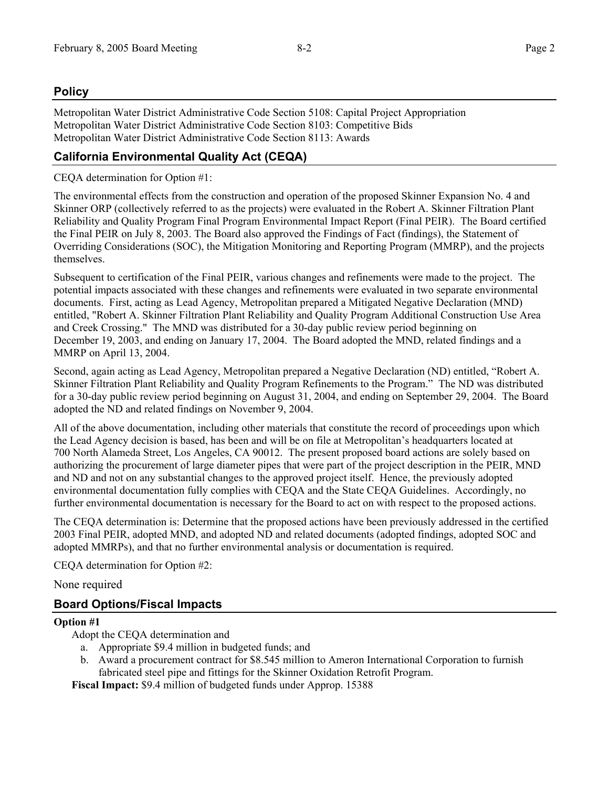## **Policy**

Metropolitan Water District Administrative Code Section 5108: Capital Project Appropriation Metropolitan Water District Administrative Code Section 8103: Competitive Bids Metropolitan Water District Administrative Code Section 8113: Awards

## **California Environmental Quality Act (CEQA)**

CEQA determination for Option #1:

The environmental effects from the construction and operation of the proposed Skinner Expansion No. 4 and Skinner ORP (collectively referred to as the projects) were evaluated in the Robert A. Skinner Filtration Plant Reliability and Quality Program Final Program Environmental Impact Report (Final PEIR). The Board certified the Final PEIR on July 8, 2003. The Board also approved the Findings of Fact (findings), the Statement of Overriding Considerations (SOC), the Mitigation Monitoring and Reporting Program (MMRP), and the projects themselves.

Subsequent to certification of the Final PEIR, various changes and refinements were made to the project. The potential impacts associated with these changes and refinements were evaluated in two separate environmental documents. First, acting as Lead Agency, Metropolitan prepared a Mitigated Negative Declaration (MND) entitled, "Robert A. Skinner Filtration Plant Reliability and Quality Program Additional Construction Use Area and Creek Crossing." The MND was distributed for a 30-day public review period beginning on December 19, 2003, and ending on January 17, 2004. The Board adopted the MND, related findings and a MMRP on April 13, 2004.

Second, again acting as Lead Agency, Metropolitan prepared a Negative Declaration (ND) entitled, "Robert A. Skinner Filtration Plant Reliability and Quality Program Refinements to the Program." The ND was distributed for a 30-day public review period beginning on August 31, 2004, and ending on September 29, 2004. The Board adopted the ND and related findings on November 9, 2004.

All of the above documentation, including other materials that constitute the record of proceedings upon which the Lead Agency decision is based, has been and will be on file at Metropolitan's headquarters located at 700 North Alameda Street, Los Angeles, CA 90012. The present proposed board actions are solely based on authorizing the procurement of large diameter pipes that were part of the project description in the PEIR, MND and ND and not on any substantial changes to the approved project itself. Hence, the previously adopted environmental documentation fully complies with CEQA and the State CEQA Guidelines. Accordingly, no further environmental documentation is necessary for the Board to act on with respect to the proposed actions.

The CEQA determination is: Determine that the proposed actions have been previously addressed in the certified 2003 Final PEIR, adopted MND, and adopted ND and related documents (adopted findings, adopted SOC and adopted MMRPs), and that no further environmental analysis or documentation is required.

CEQA determination for Option #2:

None required

## **Board Options/Fiscal Impacts**

#### **Option #1**

Adopt the CEQA determination and

- a. Appropriate \$9.4 million in budgeted funds; and
- b. Award a procurement contract for \$8.545 million to Ameron International Corporation to furnish fabricated steel pipe and fittings for the Skinner Oxidation Retrofit Program.

**Fiscal Impact:** \$9.4 million of budgeted funds under Approp. 15388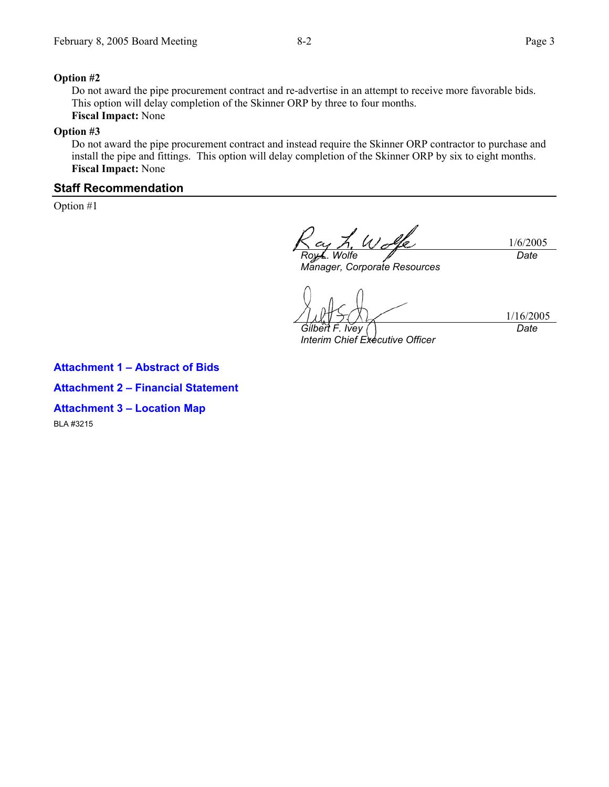#### **Option #2**

Do not award the pipe procurement contract and re-advertise in an attempt to receive more favorable bids. This option will delay completion of the Skinner ORP by three to four months. **Fiscal Impact:** None

#### **Option #3**

Do not award the pipe procurement contract and instead require the Skinner ORP contractor to purchase and install the pipe and fittings. This option will delay completion of the Skinner ORP by six to eight months. **Fiscal Impact:** None

#### **Staff Recommendation**

Option #1

1/6/2005 *Wolfe Date* 

*Manager, Corporate Resources* 

*Gilbert F. Ivey* 

*Interim Chief Executive Officer* 

1/16/2005 *Date* 

**Attachment 1 – Abstract of Bids Attachment 2 – Financial Statement Attachment 3 – Location Map**  BLA #3215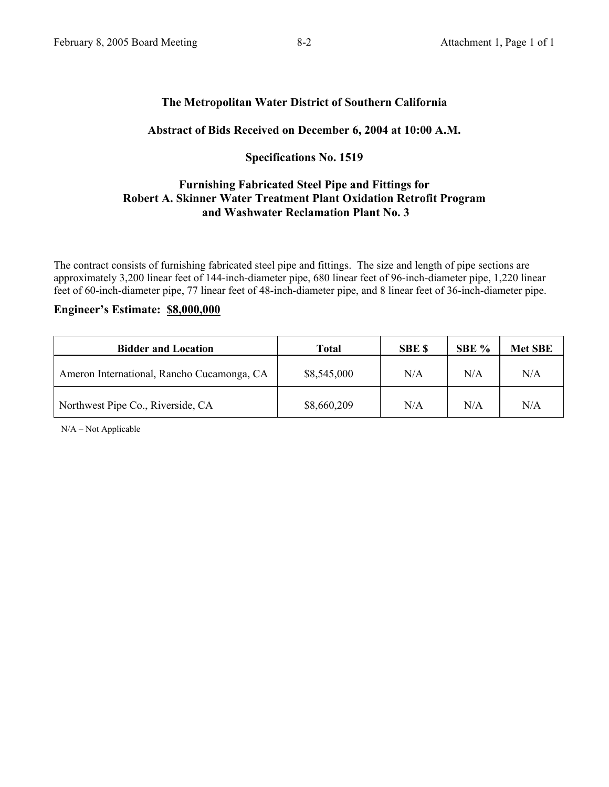### **The Metropolitan Water District of Southern California**

#### **Abstract of Bids Received on December 6, 2004 at 10:00 A.M.**

### **Specifications No. 1519**

## **Furnishing Fabricated Steel Pipe and Fittings for Robert A. Skinner Water Treatment Plant Oxidation Retrofit Program and Washwater Reclamation Plant No. 3**

The contract consists of furnishing fabricated steel pipe and fittings. The size and length of pipe sections are approximately 3,200 linear feet of 144-inch-diameter pipe, 680 linear feet of 96-inch-diameter pipe, 1,220 linear feet of 60-inch-diameter pipe, 77 linear feet of 48-inch-diameter pipe, and 8 linear feet of 36-inch-diameter pipe.

#### **Engineer's Estimate: \$8,000,000**

| <b>Bidder and Location</b>                 | Total       | <b>SBE \$</b> | SBE % | <b>Met SBE</b> |
|--------------------------------------------|-------------|---------------|-------|----------------|
| Ameron International, Rancho Cucamonga, CA | \$8,545,000 | N/A           | N/A   | N/A            |
| Northwest Pipe Co., Riverside, CA          | \$8,660,209 | N/A           | N/A   | N/A            |

N/A – Not Applicable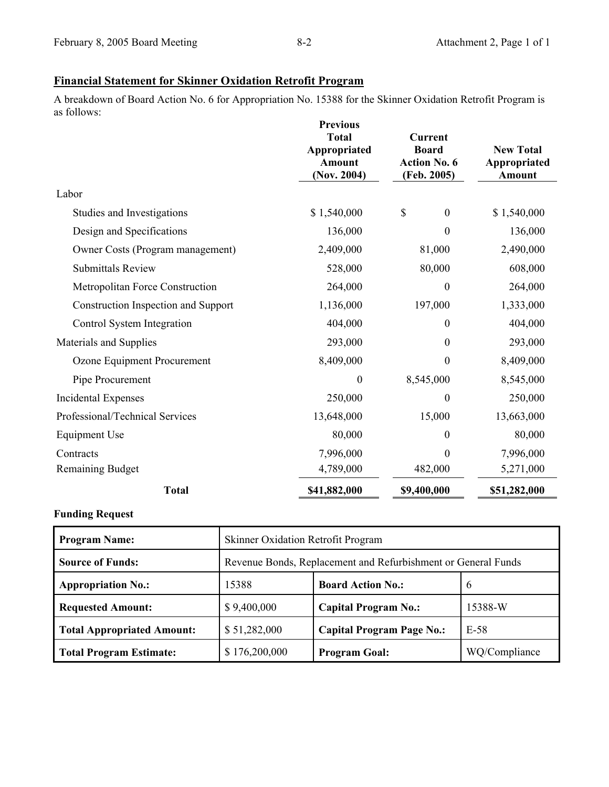## **Financial Statement for Skinner Oxidation Retrofit Program**

A breakdown of Board Action No. 6 for Appropriation No. 15388 for the Skinner Oxidation Retrofit Program is as follows:

|                                        | <b>Previous</b><br><b>Total</b><br>Appropriated<br><b>Amount</b><br>( <b>Nov.</b> 2004) | <b>Current</b><br><b>Board</b><br><b>Action No. 6</b><br>(Feb. 2005) | <b>New Total</b><br>Appropriated<br><b>Amount</b> |
|----------------------------------------|-----------------------------------------------------------------------------------------|----------------------------------------------------------------------|---------------------------------------------------|
| Labor                                  |                                                                                         |                                                                      |                                                   |
| Studies and Investigations             | \$1,540,000                                                                             | \$<br>$\boldsymbol{0}$                                               | \$1,540,000                                       |
| Design and Specifications              | 136,000                                                                                 | $\boldsymbol{0}$                                                     | 136,000                                           |
| Owner Costs (Program management)       | 2,409,000                                                                               | 81,000                                                               | 2,490,000                                         |
| <b>Submittals Review</b>               | 528,000                                                                                 | 80,000                                                               | 608,000                                           |
| <b>Metropolitan Force Construction</b> | 264,000                                                                                 | $\boldsymbol{0}$                                                     | 264,000                                           |
| Construction Inspection and Support    | 1,136,000                                                                               | 197,000                                                              | 1,333,000                                         |
| Control System Integration             | 404,000                                                                                 | 0                                                                    | 404,000                                           |
| Materials and Supplies                 | 293,000                                                                                 | $\boldsymbol{0}$                                                     | 293,000                                           |
| Ozone Equipment Procurement            | 8,409,000                                                                               | $\boldsymbol{0}$                                                     | 8,409,000                                         |
| Pipe Procurement                       | $\boldsymbol{0}$                                                                        | 8,545,000                                                            | 8,545,000                                         |
| <b>Incidental Expenses</b>             | 250,000                                                                                 | 0                                                                    | 250,000                                           |
| Professional/Technical Services        | 13,648,000                                                                              | 15,000                                                               | 13,663,000                                        |
| <b>Equipment Use</b>                   | 80,000                                                                                  | 0                                                                    | 80,000                                            |
| Contracts                              | 7,996,000                                                                               | $\theta$                                                             | 7,996,000                                         |
| <b>Remaining Budget</b>                | 4,789,000                                                                               | 482,000                                                              | 5,271,000                                         |
| <b>Total</b>                           | \$41,882,000                                                                            | \$9,400,000                                                          | \$51,282,000                                      |

#### **Funding Request**

| <b>Program Name:</b>              | Skinner Oxidation Retrofit Program                            |                                  |               |  |  |
|-----------------------------------|---------------------------------------------------------------|----------------------------------|---------------|--|--|
| <b>Source of Funds:</b>           | Revenue Bonds, Replacement and Refurbishment or General Funds |                                  |               |  |  |
| <b>Appropriation No.:</b>         | 15388                                                         | <b>Board Action No.:</b>         | 6             |  |  |
| <b>Requested Amount:</b>          | \$9,400,000                                                   | <b>Capital Program No.:</b>      | 15388-W       |  |  |
| <b>Total Appropriated Amount:</b> | \$51,282,000                                                  | <b>Capital Program Page No.:</b> | $E-58$        |  |  |
| <b>Total Program Estimate:</b>    | \$176,200,000                                                 | <b>Program Goal:</b>             | WQ/Compliance |  |  |